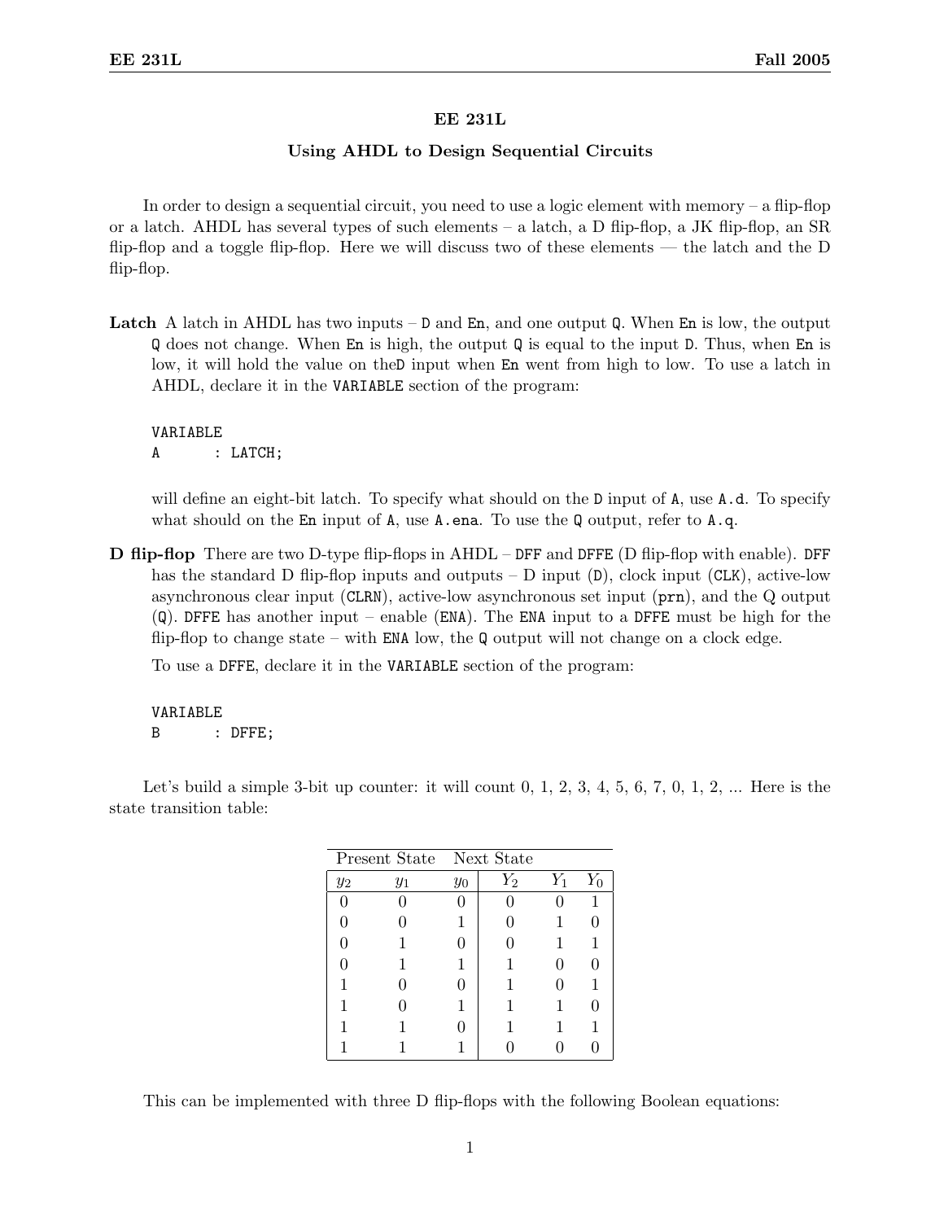## EE 231L

## Using AHDL to Design Sequential Circuits

In order to design a sequential circuit, you need to use a logic element with memory  $-$  a flip-flop or a latch. AHDL has several types of such elements – a latch, a D flip-flop, a JK flip-flop, an  $SR$ flip-flop and a toggle flip-flop. Here we will discuss two of these elements — the latch and the D flip-flop.

**Latch** A latch in AHDL has two inputs  $-$  D and En, and one output Q. When En is low, the output Q does not change. When En is high, the output Q is equal to the input D. Thus, when En is low, it will hold the value on theD input when En went from high to low. To use a latch in AHDL, declare it in the VARIABLE section of the program:

VARIABLE A : LATCH;

will define an eight-bit latch. To specify what should on the D input of A, use A.d. To specify what should on the En input of A, use A.ena. To use the Q output, refer to A.q.

D flip-flop There are two D-type flip-flops in AHDL – DFF and DFFE (D flip-flop with enable). DFF has the standard D flip-flop inputs and outputs – D input  $(D)$ , clock input  $(CLK)$ , active-low asynchronous clear input (CLRN), active-low asynchronous set input (prn), and the Q output (Q). DFFE has another input – enable (ENA). The ENA input to a DFFE must be high for the flip-flop to change state – with  $EMA$  low, the Q output will not change on a clock edge.

To use a DFFE, declare it in the VARIABLE section of the program:

VARIABLE B : DFFE;

Let's build a simple 3-bit up counter: it will count  $0, 1, 2, 3, 4, 5, 6, 7, 0, 1, 2, \ldots$  Here is the state transition table:

| Present State Next State |       |       |                    |       |   |
|--------------------------|-------|-------|--------------------|-------|---|
| $y_2$                    | $y_1$ | $y_0$ | $\scriptstyle Y_2$ | $Y_1$ |   |
|                          |       |       |                    |       |   |
|                          |       |       |                    |       |   |
|                          |       |       |                    |       | 1 |
|                          |       |       |                    |       |   |
|                          |       |       |                    |       |   |
|                          |       |       |                    |       |   |
|                          |       |       |                    |       |   |
|                          |       |       |                    |       |   |

This can be implemented with three D flip-flops with the following Boolean equations: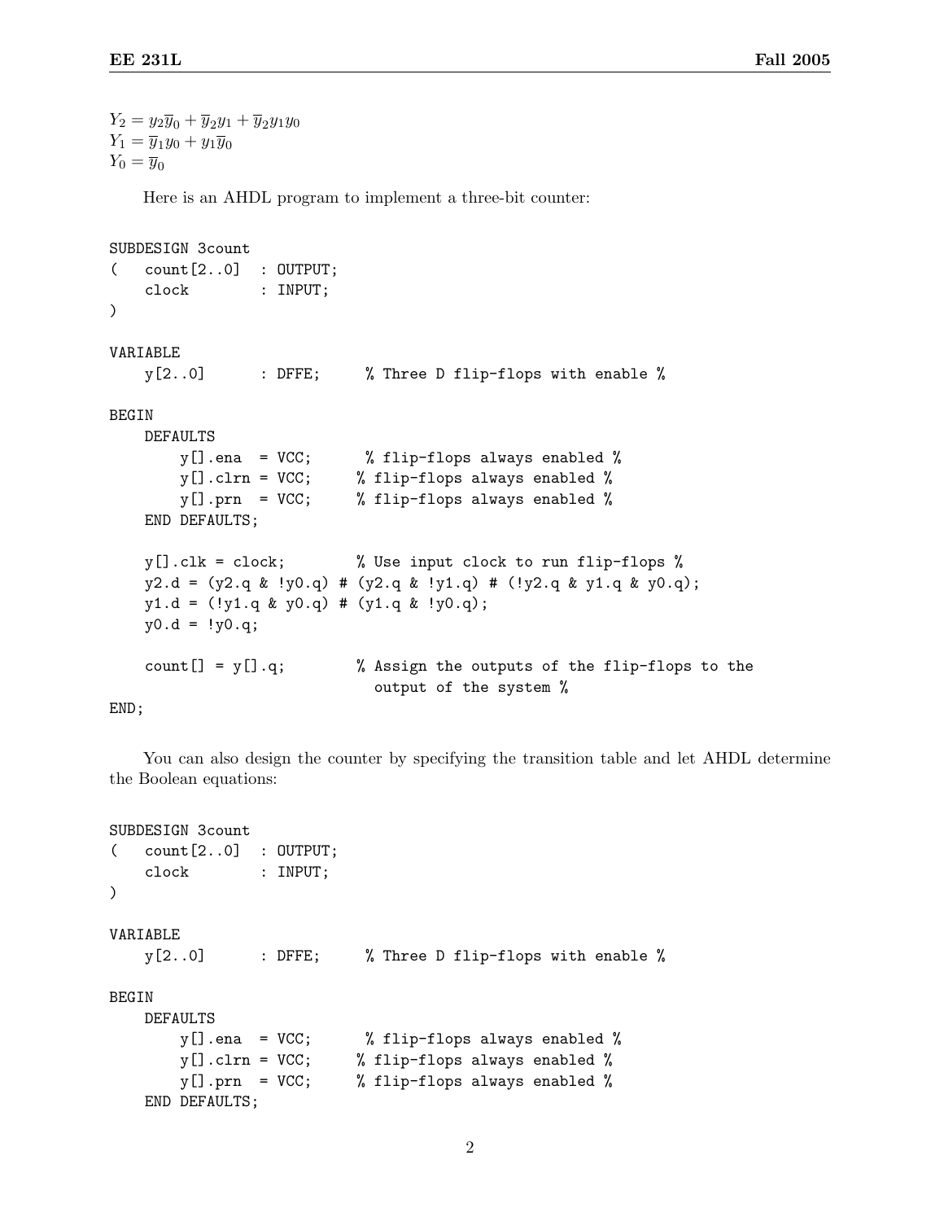```
Y_2 = y_2\overline{y}_0 + \overline{y}_2y_1 + \overline{y}_2y_1y_0Y_1 = \overline{y}_1y_0 + y_1\overline{y}_0Y_0 = \overline{y}_0Here is an AHDL program to implement a three-bit counter:
SUBDESIGN 3count
\text{(count[2..0]} : \text{OUTPUT};clock : INPUT;
)
VARIABLE
    y[2..0] : DFFE; % Three D flip-flops with enable %
BEGIN
    DEFAULTS
        y[].ena = VCC; % flip-flops always enabled %
        y[].clrn = VCC; % flip-flops always enabled %
        y[].prn = VCC; % flip-flops always enabled %
    END DEFAULTS;
    y[].clk = clock; % Use input clock to run flip-flops %
    y2.d = (y2.q & y0.q) # (y2.q & y1.q) # (y2.q & y1.q & y1.q & y0.q);y1.d = (!y1.q & y0.q) # (y1.q & y0.q);y0.d = 1y0.q;count[] = y[].q; % Assign the outputs of the flip-flops to the
                                 output of the system %
END;
```
You can also design the counter by specifying the transition table and let AHDL determine the Boolean equations:

```
SUBDESIGN 3count
( count[2..0] : OUTPUT;
   clock : INPUT;
)
VARIABLE
   y[2..0] : DFFE; % Three D flip-flops with enable %
BEGIN
   DEFAULTS
       y[].ena = VCC; % flip-flops always enabled %
       y[].clrn = VCC; % flip-flops always enabled %
       y[].prn = VCC; % flip-flops always enabled %
   END DEFAULTS;
```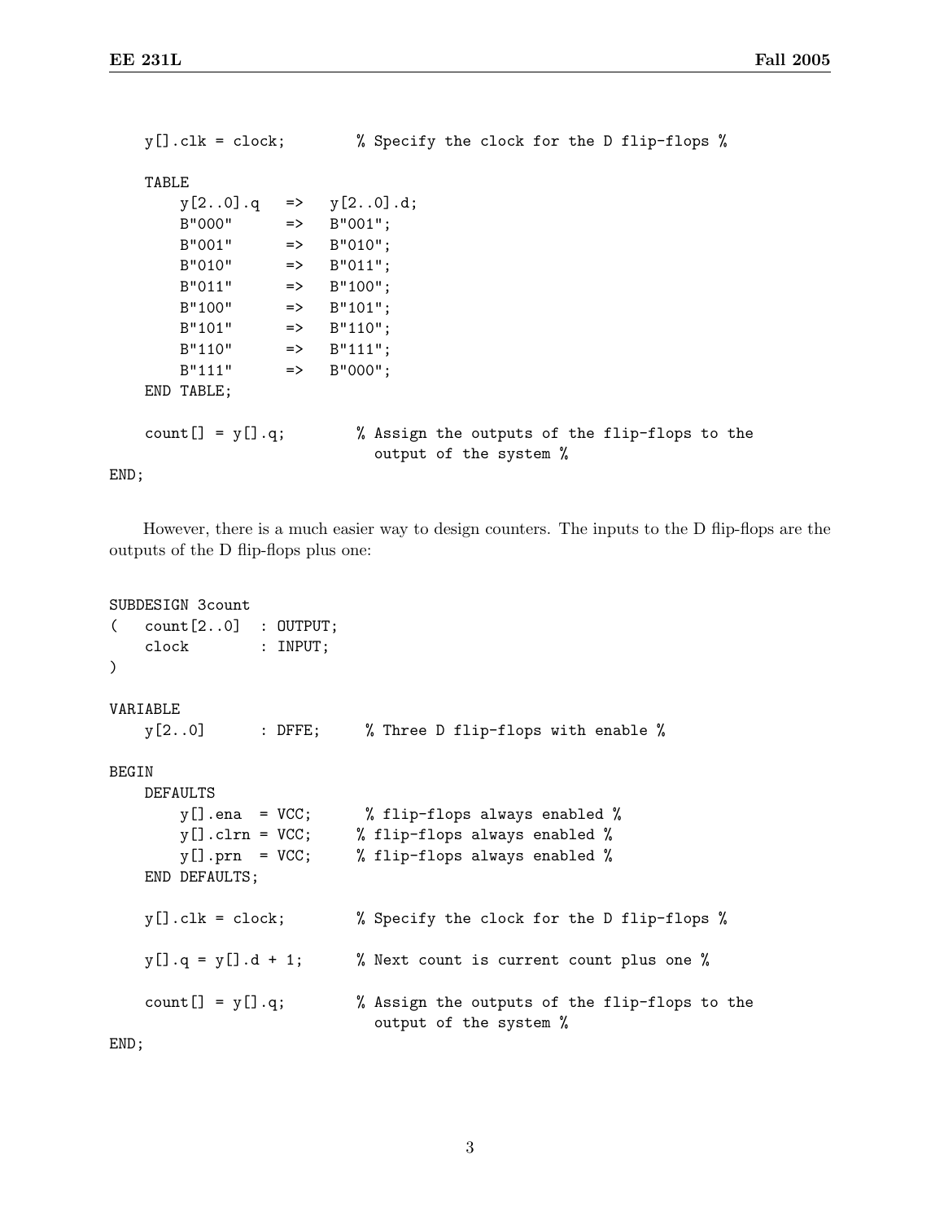```
y[].clk = clock; % Specify the clock for the D flip-flops %
   TABLE
       y[2..0].q => y[2..0].d;B''000'' => B''001'';
       B''001'' => B''010'';
       B''010'' => B''011'';
       B''011'' => B''100'';
       B''100'' => B''101'';
       B''101'' => B''110'';
       B''110'' => B''111'';
       B''111'' => B''000'';
   END TABLE;
   count [] = y[].q; % Assign the outputs of the flip-flops to the
                           output of the system %
END;
```
However, there is a much easier way to design counters. The inputs to the D flip-flops are the outputs of the D flip-flops plus one:

```
SUBDESIGN 3count
( count[2..0] : OUTPUT;
   clock : INPUT;
)
VARIABLE
   y[2..0] : DFFE; % Three D flip-flops with enable %
BEGIN
   DEFAULTS
       y[].ena = VCC; % flip-flops always enabled %
       y[].clrn = VCC; % flip-flops always enabled %
       y[].prn = VCC; % flip-flops always enabled %
   END DEFAULTS;
   y[].clk = clock; % Specify the clock for the D flip-flops %
   y[] . q = y[] . d + 1; % Next count is current count plus one %
   count [] = y[].q; \% Assign the outputs of the flip-flops to the
                           output of the system %
END;
```